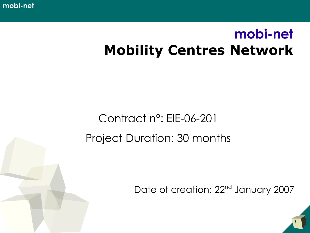**mobi-net**

## **mobi-net Mobility Centres Network**

### Contract n°: EIE-06-201 Project Duration: 30 months

Date of creation: 22<sup>nd</sup> January 2007

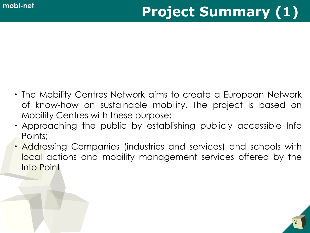- The Mobility Centres Network aims to create a European Network of know-how on sustainable mobility. The project is based on Mobility Centres with these purpose:
- Approaching the public by establishing publicly accessible Info Points;
- Addressing Companies (industries and services) and schools with local actions and mobility management services offered by the Info Point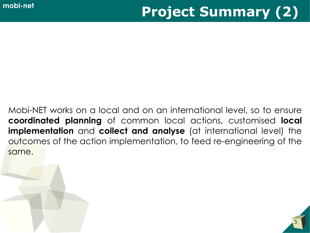Mobi-NET works on a local and on an international level, so to ensure **coordinated planning** of common local actions, customised **local implementation** and **collect and analyse** (at international level) the outcomes of the action implementation, to feed re-engineering of the same.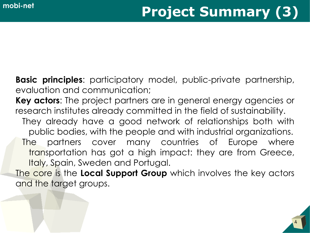**Basic principles**: participatory model, public-private partnership, evaluation and communication;

**Key actors**: The project partners are in general energy agencies or research institutes already committed in the field of sustainability. They already have a good network of relationships both with public bodies, with the people and with industrial organizations. The partners cover many countries of Europe where transportation has got a high impact: they are from Greece, Italy, Spain, Sweden and Portugal.

The core is the **Local Support Group** which involves the key actors and the target groups.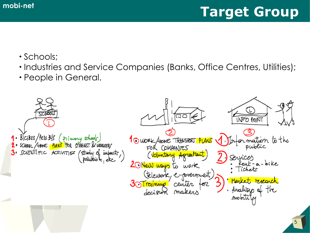## **mobi-net Target Group**

- Schools;
- Industries and Service Companies (Banks, Office Centres, Utilities);
- People in General.

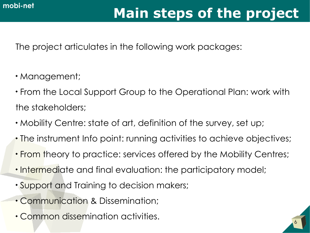# **mobi-net Main steps of the project**

6

The project articulates in the following work packages:

- Management;
- From the Local Support Group to the Operational Plan: work with the stakeholders;
- Mobility Centre: state of art, definition of the survey, set up;
- The instrument Info point: running activities to achieve objectives;
- From theory to practice: services offered by the Mobility Centres;
- Intermediate and final evaluation: the participatory model;
- Support and Training to decision makers;
- Communication & Dissemination;
- Common dissemination activities.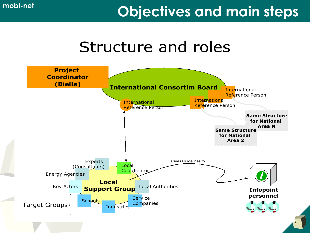## **mobi-net Objectives and main steps**

## Structure and roles

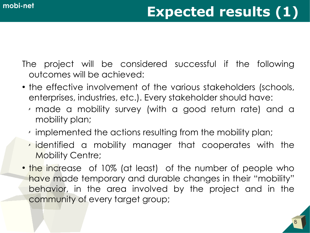The project will be considered successful if the following outcomes will be achieved:

- the effective involvement of the various stakeholders (schools, enterprises, industries, etc.). Every stakeholder should have:
	- ✗ made a mobility survey (with a good return rate) and a mobility plan;
	- ✗ implemented the actions resulting from the mobility plan;
	- ✗ identified a mobility manager that cooperates with the Mobility Centre;
- the increase of 10% (at least) of the number of people who have made temporary and durable changes in their "mobility" behavior, in the area involved by the project and in the community of every target group;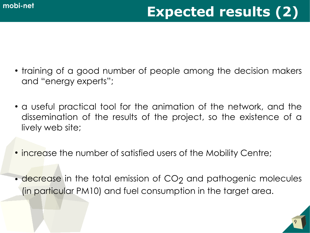- training of a good number of people among the decision makers and "energy experts";
- a useful practical tool for the animation of the network, and the dissemination of the results of the project, so the existence of a lively web site;
- increase the number of satisfied users of the Mobility Centre;
- decrease in the total emission of CO<sub>2</sub> and pathogenic molecules (in particular PM10) and fuel consumption in the target area.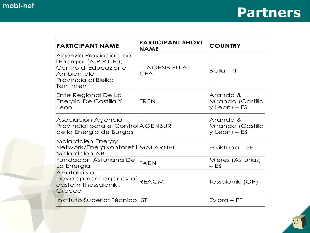| <b>PARTICIPANT NAME</b>                                                                                                          | <b>PARTICIPANT SHORT</b><br><b>NAME</b> | <b>COUNTRY</b>                                  |
|----------------------------------------------------------------------------------------------------------------------------------|-----------------------------------------|-------------------------------------------------|
| Agenzia Provinciale per<br>l'Energia (A.P.P.L.E.);<br>Centro di Educazione<br>Ambientale;<br>Provincia di Biella;<br>Tantintenti | <b>AGENBIELLA;</b><br><b>CEA</b>        | $Biella - IT$                                   |
| Ente Regional De La<br>Energia De Castilla Y<br>Leon                                                                             | EREN                                    | Aranda &<br>Miranda (Castilla<br>$y$ Leon) – ES |
| Asociación Agencia<br>Provincial para el Control AGENBUR<br>de la Energía de Burgos                                              |                                         | Aranda &<br>Miranda (Castilla<br>$y$ Leon) – ES |
| Malardalen Energy<br>Network/Energikontoret i MALARNET<br>Mälardalen AB                                                          |                                         | $E$ skilstuna – SE                              |
| Fundacion Asturiana De<br>La Energia                                                                                             | FAEN                                    | Mieres (Asturias)<br>ES                         |
| Anatoliki s.a.<br>Development agency of REACM<br>eastern thessaloniki,<br>Greece                                                 |                                         | Tessaloniki (GR)                                |
| Instituto Superior Técnico IST                                                                                                   |                                         | $Evora - PT$                                    |